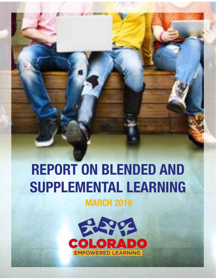# **REPORT ON BLENDED AND SUPPLEMENTAL LEARNING**

**MARCH 2018**

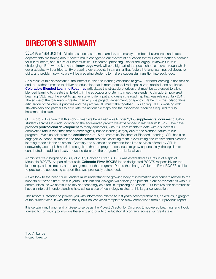# **DIRECTOR'S SUMMARY**

Conversations Districts, schools, students, families, community members, businesses, and state departments are talking about how to make changes to our system of education that will lead to better outcomes for our students, and in turn our communities. Of course, preparing kids for the largely unknown future is challenging. But, we do know that **knowledge work** will be a big part of the post school careers through which our graduates will contribute. By preparing our students in a manner that fosters life-long learning, collaborative skills, and problem solving, we will be preparing students to make a successful transition into adulthood.

As a result of this conversation, the interest in blended learning continues to grow. Blended learning is not itself an end, but rather a means to deliver an education that is more personalized, specialized, applied, and equitable. [Colorado's Blended Learning Roadmap](https://www.colorado.gov/pacific/sites/default/files/atoms/files/CO-BlendedLearningRoadmap-Final-with-Appendices.pdf) articulates the strategic priorities that must be addressed to allow blended learning to create the flexibility in the educational system to meet these ends. Colorado Empowered Learning (CEL) lead the effort to gather stakeholder input and design the roadmap that was released July 2017. The scope of the roadmap is greater than any one project, department, or agency. Rather it is the collaborative articulation of the various priorities and the path we, all, must take together. This spring, CEL is working with stakeholders and partners to articulate the actionable steps and the associated resources required to fully implement the plan.

CEL is proud to share that this school year, we have been able to offer 2,858 supplemental courses to 1,455 students across Colorado, continuing the accelerated growth we experienced in last year (2016-17). We have provided **professional development** to many educators, with 628 enrollments to date with a successful completion rate is five times that of other digitally based learning (largely due to the blended nature of our program). We also celebrate the **certification** of 15 educators as Teachers of Blended Learning! CEL has also engaged 27 school districts in the **consultation** process, assisting them in evaluating and implemented blended learning models in their districts. Certainly, the success and demand for all the services offered by CEL is noteworthy accomplishment! In recognition that the program continues to grow exponentially, the legislature contributed an additional sixty-thousand dollars to the program for this fiscal year.

Administratively, beginning in July of 2017, Colorado River BOCES was established as a result of a split of Mountain BOCES. As part of that split, **Colorado River BOCES** is the designated BOCES responsibly for the leadership, administration, and management of the program. Due to the change, Colorado River BOCES is able to provide the accounting support that was previously outsourced.

As we look to the near future, leaders must understand the growing body of information and concern related to the impacts of "screen time" on our youth. This national dialogue will certainly be present in our conversations with our communities, as we continue to rely on technology as a tool in improving education. Our families and communities have an interest in understanding how school's use of technology relates to this larger conversation.

This report is intended to provide you with information related to last years accomplishments, as well as, highlights of the current year. It was intentionally built on last year's template to allow comparison from our previous report.

It is certainly my honor and privilege to serve as the Project Director for Colorado Empowered Learning, and I look forward to continuing to improve the equity and quality of educational programs across our great state.

Troy A. Lange Project Director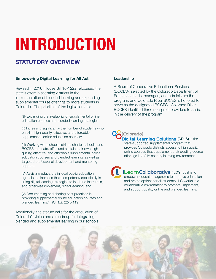# **INTRODUCTION**

### **STATUTORY OVERVIEW**

#### **Empowering Digital Learning for All Act**

Revised in 2016, House Bill 16-1222 refocused the state's effort in assisting districts in the implementation of blended learning and expanding supplemental course offerings to more students in Colorado. The priorities of the legislation are:

"(I) Expanding the availability of supplemental online education courses and blended learning strategies;

(II) Increasing significantly the number of students who enroll in high-quality, effective, and affordable supplemental online education courses;

(III) Working with school districts, charter schools, and BOCES to create, offer, and sustain their own highquality, effective, and affordable supplemental online education courses and blended learning, as well as targeted professional development and mentoring support;

IV) Assisting educators in local public education agencies to increase their competency specifically in using digital learning strategies to lead and instruct in, and otherwise implement, digital learning; and

(V) Documenting and sharing best practices in providing supplemental online education courses and blended learning." (C.R.S. 22-5-119)

Additionally, the statute calls for the articulation of Colorado's vision and a roadmap for integrating blended and supplemental learning in our schools.

#### Leadership

A Board of Cooperative Educational Services (BOCES), selected by the Colorado Department of Education, leads, manages, and administers the program, and Colorado River BOCES is honored to serve as the designated BOCES. Colorado River BOCES identified three non-profit providers to assist in the delivery of the program:

[Colorado] **Digital Learning Solutions (CDLS)** is the state-supported supplemental program that

provides Colorado districts access to high quality online courses that supplement their existing course offerings in a 21st century learning environment.

*iLearnCollaborative* (*iLC's*) goal is to empower education agencies to improve education and create options for all students. iLC works in a collaborative environment to promote, implement, and support quality online and blended learning.

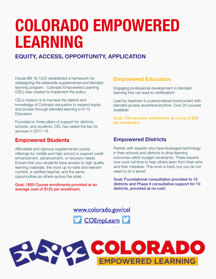# **COLORADO EMPOWERED LEARNING**

## **EQUITY, ACCESS, OPPORTUNITY, APPLICATION**

House Bill 16-1222 established a framework for redesigning the statewide supplemental and blended learning program. Colorado Empowered Learning (CEL) was created to implement the policy.

CEL's mission is to harness the talents and knowledge of Colorado educators to expand equity and access through blended learning in K-12 Education.

Founded on three pillars of support for districts, schools, and students, CEL has raised the bar for services in 2017-18.

### **Empowered Students**

Affordable and rigorous supplemental course offerings for middle and high school to support credit enhancement, advancement, or recovery needs. Ensure that your students have access to high quality learning materials, the most up-to-date and relevant content, a certified teacher, and the same opportunities as others across the state.

Goal: 1850 Course enrollments provided at an average cost of \$125 per enrollment.

### **Empowered Educators**

Engaging professional development in blended learning that can lead to certification!

Lead by teachers in a personalized environment with blended access anywhere/anytime. Over 20 courses available!

Goal: 700 educator enrollments at a cost of \$25 per enrollment.

### **Empowered Districts**

Partner with experts who have leveraged technology in their schools and districts to drive learning outcomes within budget constraints. These experts now work full time to help others learn from their wins and their mistakes. This work is hard, but you do not need to do it alone!

Goal: Foundational consultation provided to 15 districts and Phase II consultative support for 10 districts, provided at no cost.

[www.colorado.gov/cel](http://www.colorado.gov/cel) **[COEmpLearn](https://twitter.com/COEmpLearn)** 

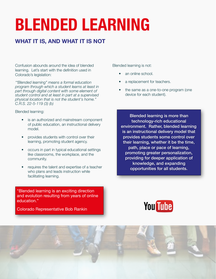# **BLENDED LEARNING**

## **WHAT IT IS, AND WHAT IT IS NOT**

Confusion abounds around the idea of blended learning. Let's start with the definition used in Colorado's legislation:

*'"Blended learning" means a formal education program through which a student learns at least in part through digital content with some element of student control and at least in part at a supervised physical location that is not the student's home." C.R.S. 22-5-119 (3) (b)* 

Blended learning:

- is an authorized and mainstream component of public education, an instructional delivery model.
- provides students with control over their learning, promoting student agency.
- occurs in part in typical educational settings like classrooms, the workplace, and the community.
- requires the talent and expertise of a teacher who plans and leads instruction while facilitating learning.

"Blended learning is an exciting direction and evolution resulting from years of online education."

Colorado Representative Bob Rankin

Blended learning is not:

- an online school.
- a replacement for teachers.
- the same as a one-to-one program (one device for each student).

Blended learning is more than technology-rich educational environment. Rather, blended learning is an instructional delivery model that provides students some control over their learning, whether it be the time, path, place or pace of learning, promoting greater personalization, providing for deeper application of knowledge, and expanding opportunities for all students.



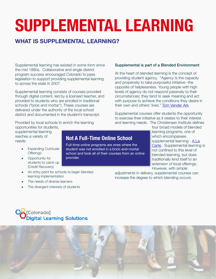### **WHAT IS SUPPLEMENTAL LEARNING?**

Supplemental learning has existed in some form since the mid 1990s. Collaborative and single district program success encouraged Colorado to pass legislation to support providing supplemental learning to across the state in 2007.

Supplemental learning consists of courses provided through digital content, led by a licensed teacher, and provided to students who are enrolled in traditional schools ("brick and mortar"). These courses are delivered under the authority of the local school district and documented in the student's transcript.

Provided by local schools to enrich the learning

opportunities for students, supplemental learning reaches a variety of needs:

- Expanding Curricular **Offerings**
- Opportunity for students to catch up (Credit Recovery)
- Full-time online programs are ones where the student was not enrolled in a brick-and-mortar school and took all of their courses from an online provider.

**Not A Full-Time Online School**

Supplemental is part of a Blended Environment

At the heart of blended learning is the concept of providing student agency. "Agency is the capacity and propensity to take purposeful initiative--the opposite of helplessness. Young people with high levels of agency do not respond passively to their circumstances; they tend to seek meaning and act with purpose to achieve the conditions they desire in their own and others' lives." [Tom Vander Ark](http://blogs.edweek.org/edweek/on_innovation/2015/12/10_tips_for_developing_student_agency.html)

Supplemental courses offer students the opportunity to exercise their initiative as it relates to their interest and learning needs. The Christensen Institute defines

> four broad models of blended learning programs, one of which encompasses supplemental learning - A La [Carte.](http://www.christenseninstitute.org/blended-learning-definitions-and-models/) Supplemental learning is not confined to this level of blended learning, but does traditionally lend itself to an extension of local offerings. However, with simple

adjustments in delivery, supplemental courses can increase the degree to which blending occurs.

- An entry point for schools to begin blended learning implementation
- The needs of diverse learners
- The divergent interests of students



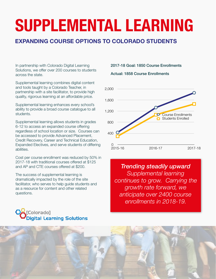### **EXPANDING COURSE OPTIONS TO COLORADO STUDENTS**

In partnership with Colorado Digital Learning Solutions, we offer over 200 courses to students across the state.

Supplemental learning combines digital content and tools taught by a Colorado Teacher, in partnership with a site facilitator, to provide high quality, rigorous learning at an affordable price.

Supplemental learning enhances every school's ability to provide a broad course catalogue to all students.

Supplemental learning allows students in grades 6-12 to access an expanded course offering regardless of school location or size. Courses can be accessed to provide Advanced Placement, Credit Recovery, Career and Technical Education, Expanded Electives, and serve students of differing abilities.

Cost per course enrollment was reduced by 50% in 2017-18 with traditional courses offered at \$125 and AP and CTE courses offered at \$200.

The success of supplemental learning is dramatically impacted by the role of the site facilitator, who serves to help guide students and as a resource for content and other related questions.

 $\sum$ r $\sum$ nolol $\sum$  $\blacktriangleright$  Digital Learning Solutions

[Colorado]

1,600

2,000

 $0 - 2015 - 16$ 400 800 1,200 2015-16 2016-17 2017-18 Course Enrollments Students Enrolled

2017-18 Goal: 1850 Course Enrollments

Actual: 1858 Course Enrollments

*Trending steadily upward Supplemental learning continues to grow. Carrying the growth rate forward, we anticipate over 2400 course enrollments in 2018-19.*

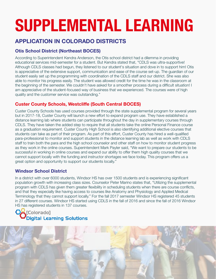## **APPLICATION IN COLORADO DISTRICTS**

### **Otis School District (Northeast BOCES)**

According to Superintendent Kendra Anderson, the Otis school district had a dilemma in providing educational services mid-semester for a student. But Kendra stated that, "CDLS was ultra-supportive! Although CDLS classes had begun, they listened to our student's situation and dove in to support him! Otis is appreciative of the extensive support, communication and ease of the course set-up. The guardian of our student easily set up the programming with coordination of the CDLS staff and our district. She was also able to monitor his progress easily. The student was allowed credit for the time he was in the classroom at the beginning of the semester. We couldn't have asked for a smoother process during a difficult situation! I am appreciative of the student-focused way of business that we experienced. The courses were of high quality and the customer service was outstanding."

#### **Custer County Schools, Westcliffe (South Central BOCES)**

Custer County Schools has used courses provided through the state supplemental program for several years but in 2017-18, Custer County will launch a new effort to expand program use. They have established a distance learning lab where students can participate throughout the day in supplementary courses through CDLS. They have taken the added step to require that all students take the online Personal Finance course as a graduation requirement. Custer County High School is also identifying additional elective courses that students can take as part of their program. As part of this effort, Custer County has hired a well-qualified para-professional to monitor and support students in the distance learning lab as well as work with CDLS staff to train both the para and the high school counselor and other staff on how to monitor student progress as they work in the online courses. Superintendent Mark Payler said, "We want to prepare our students to be successful in working in online courses and expand our ability to offer them high quality courses that we cannot support locally with the funding and instructor shortages we face today. This program offers us a great option and opportunity to support our students locally."

#### **Windsor School District**

In a district with over 6000 students, Windsor HS has over 1500 students and is experiencing significant population growth with increasing class sizes. Counselor Peter Marino states that, "Utilizing the supplemental program with CDLS has given them greater flexibility in scheduling students when there are course conflicts, and that they especially like having access to courses like Anatomy and Physiology and Applied Medical Terminology that they cannot support locally." For the fall 2017 semester Windsor HS registered 45 students in 27 different courses. Windsor HS started using CDLS in the fall of 2016 and since the fall of 2016 Windsor HS has registered students in 137 courses.

#### [Text Text Text Text Text Text Text Text Text](http://www.coloradodls.org)   $\sum$ r $\sum$ nolol $\sum$  $\blacktriangleright$  Digital Learning Solutions

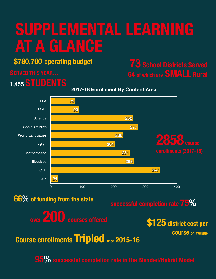# **SUPPLEMENTAL LEARNING AT A GLANCE**

# **\$780,700 operating budget**

# **1,455 STUDENTS**

# **73 School Districts Served 64 of which are SMALL Rural**

**2017-18 Enrollment By Content Area**



# **66% of funding from the state**

**successful completion rate 75%**

**over 200 courses offered**



**course on average**

**Course enrollments Tripled since 2015-16**

**95% successful completion rate in the Blended/Hybrid Model**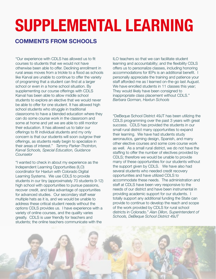### **COMMENTS FROM SCHOOLS**

"Our experience with CDLS has allowed us to fit courses to students that we would not have otherwise been able to offer. Declining enrollment in rural areas moves from a trickle to a flood as schools like Karval are unable to continue to offer the variety of programing that a student can find at a larger school or even in a home school situation. By supplementing our course offerings with CDLS Karval has been able to allow middle school students to explore an elective that we would never be able to offer for one student. It has allowed high school students who struggle in traditional classrooms to have a blended education where they can do some course work in the classroom and some at home and yet we are able to still monitor their education. It has allowed us to tailor our offerings to fit individual students and my only concern is that our students will soon outgrow their offerings, as students really begin to specialize in their areas of interest." *Tammy Parker-Thotnton, Karval Schools, Special Education, Guidance Counselor*

"I wanted to check in about my experience as the Independent Learning Opportunities (ILO) coordinator for Haxtun with Colorado Digital Learning Systems. We use CDLS to provide students in our tiny (approximately 70 students 9-12) high school with opportunities to pursue passions, recover credit, and take advantage of opportunities for advanced studies. Our secondary staff wear multiple hats as it is, and we would be unable to address these critical student needs without the options CDLS provides us. I have experience with a variety of online courses, and the quality varies greatly. CDLS is user friendly for teachers and students; the online teachers communicate with the

ILO teachers so that we can facilitate student learning and accountability; and the flexibility CDLS offers us to personalize classes, including honoring accommodations for IEPs is an additional benefit. I personally appreciate the training and patience your staff afforded me as I learned on-the-go last August. We have enrolled students in 11 classes this year; They would likely have been consigned to inappropriate class placement without CDLS." *Barbara Gorman, Haxtun Schools* 

"DeBeque School District 49JT has been utilizing the CDLS programming over the past 3 years with great success. CDLS has provided the students in our small rural district many opportunities to expand their learning. We have had students study aeronautics, gaming design, Spanish, and many other elective courses and some core course work as well. As a small rural district, we do not have the staffing to offer the number of electives provided by CDLS; therefore we would be unable to provide many of these opportunities for our students without the support given by CDLS. We have also had several students who needed credit recovery opportunities and have utilized CDLS to accommodate these needs. The administration and staff at CDLS have been very responsive to the needs of our district and have been instrumental in providing academic support for our students. I totally support any additional funding the State can provide to continue to develop the reach and scope of the work provided by CDLS for rural school districts in Colorado." *Alan Dillon, Superintendent of Schools, DeBeque School District 49JT*

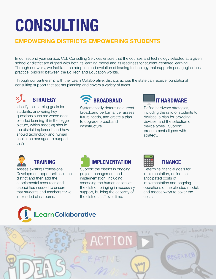# **CONSULTING**

# **EMPOWERING DISTRICTS EMPOWERING STUDENTS**

In our second year service, CEL Consulting Services ensure that the courses and technology selected at a given school or district are aligned with both its learning model and its readiness for student-centered learning. Through our work, we facilitate the adoption and evolution of leading technology that supports pedagogical best practice, bridging between the Ed Tech and Education worlds.

Through our partnership with the iLearn Collaborative, districts across the state can receive foundational consulting support that assists planning and covers a variety of areas.



Identify the learning goals for students, answering key questions such as: where does blended learning fit in the bigger picture, which model(s) should the district implement, and how should technology and human capital be managed to support this?



Systematically determine current broadband performance, assess future needs, and create a plan to upgrade broadband infrastructure.



Define hardware strategies, including the ratio of students to devices, a plan for providing devices, and the selection of device types. Support procurement aligned with strategy.



### **TRAINING**

Assess existing Professional Development opportunities in the district and then add the supplemental resources and capabilities needed to ensure that students and teachers thrive in blended classrooms.



Support the district in ongoing project management and implementation, including assessing the human capital at the district, bringing in necessary support, building the capacity of the district staff over time.





Determine financial goals for implementation, define the anticipated costs of implementation and ongoing operations of the blended model, and assess ways to cover the costs.



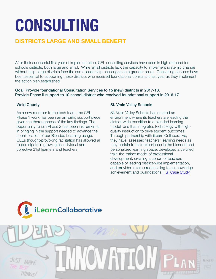# **CONSULTING**

## **DISTRICTS LARGE AND SMALL BENEFIT**

After their successful first year of implementation, CEL consulting services have been in high demand for schools districts, both large and small. While small districts lack the capacity to implement systemic change without help, large districts face the same leadership challenges on a grander scale. Consulting services have been essential to supporting those districts who received foundational consultant last year as they implement the action plan established.

Goal: Provide foundational Consultation Services to 15 (new) districts in 2017-18. Provide Phase II support to 10 school district who received foundational support in 2016-17.

#### Weld County

As a new member to the tech team, the CEL Phase 1 work has been an amazing support piece given the thoroughness of the key findings. The opportunity to join Phase 2 has been instrumental in bringing in the support needed to advance the sophistication of our Blended Learning usage. CEL's thought-provoking facilitation has allowed all to participate in growing as individual and collective 21st learners and teachers.

#### St. Vrain Valley Schools

St. Vrain Valley Schools has created an environment where its teachers are leading the district-wide transition to a blended learning model, one that integrates technology with highquality instruction to drive student outcomes. Through partnership with iLearn Collaborative, they have assessed teachers' learning needs as they pertain to their experience in the blended and personalized learning space, developed a certified train-the-trainer model of professional development, creating a cohort of teachers capable of leading district-wide implementation, and provided micro-credentialing to acknowledge achievement and qualifications. [Full Case Study](https://edutransformationcenter.withgoogle.com/resource/5736784528932864)

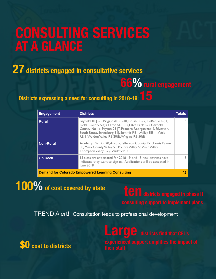# **CONSULTING SERVICES AT A GLANCE**

**27 districts engaged in consultative services**

**66%** rural engagement

**Districts expressing a need for consulting in 2018-19:** 

| <b>Engagement</b>                                        | <b>Districts</b>                                                                                                                                                                                                                                                                                              | Totals |
|----------------------------------------------------------|---------------------------------------------------------------------------------------------------------------------------------------------------------------------------------------------------------------------------------------------------------------------------------------------------------------|--------|
| <b>Rural</b>                                             | Bayfield 10 JT-R, Briggsdale RE-10, Brush RE-J2, DeBeque 49JT,<br>Delta County 50(J), Eaton SD RE2, Estes Park R-3, Garfield<br>County No 16, Peyton 23 JT, Primero Reorganized 2, Silverton,<br>South Routt, Strausberg 31, Summit RE-1, Valley RE-1, Weld<br>RE-1, Weldon Valley RE-20( ), Wiggins RE-50( ) | 18     |
| <b>Non-Rural</b>                                         | Academy District 20, Aurora, Jefferson County R-1, Lewis Palmer<br>38, Mesa County Valley 51, Poudre Valley, St. Vrain Valley,<br>Thompson Valley R2-J, Widefield 3                                                                                                                                           |        |
| <b>On Deck</b>                                           | 15 slots are anticipated for 2018-19, and 15 new districts have<br>indicated they want to sign up. Applications will be accepted in<br>June 2018.                                                                                                                                                             | 15     |
| <b>Demand for Colorado Empowered Learning Consulting</b> |                                                                                                                                                                                                                                                                                                               |        |

**100% of cost covered by state**

TREND Alert! Consultation leads to professional development

# **Large** districts find that CEL's

**\$0 cost to districts**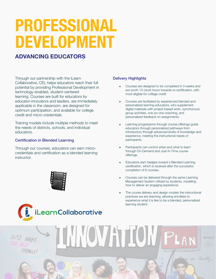# **PROFESSIONAL DEVELOPMENT**

### **ADVANCING EDUCATORS**

Through our partnership with the iLearn Collaborative, CEL helps educators reach their full potential by providing Professional Development in technology-enabled, student-centered learning. Courses are built for educators by educator-innovators and leaders, are immediately applicable in the classroom, are designed for optimum participation, and available for college credit and micro-credentials.

Training models include multiple methods to meet the needs of districts, schools, and individual educators.

#### Certification in Blended Learning

Through our courses, educators can earn microcredentials and certification as a blended learning instructor.



[text text text text text text text text text text text](https://www.ilearncollaborative.org/professional-development) 



- Courses are designed to be completed in 3 weeks and are worth 15-clock hours towards re-certification, with most eligible for college credit.
- Courses are facilitated by experienced blended and personalized learning educators, who supplement digital materials with project-based work, synchronous group activities, one-on-one coaching, and personalized feedback on assignments.
- Learning progressions through course offerings guide educators through personalized pathways from introductory through advanced levels of knowledge and experience, meeting the instructional needs of participants.
- Participants can control when and what to learn through On-Demand and Just-In-Time course offerings.
- Educators earn badges toward a Blended Learning certification, which is received after the successful completion of 6 courses.
- Courses can be delivered through the same Learning Management System utilized by students, modeling how to deliver an engaging experience.
- The course delivery and design models the instructional practices we are teaching, allowing enrollees to experience what it is like to be a blended, personalized learning student.

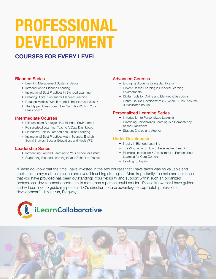# **PROFESSIONAL DEVELOPMENT**

### **COURSES FOR EVERY LEVEL**

#### Blended Series

- ❖ Learning Management Systems Basics
- ❖ Introduction to Blended Learning
- ❖ Instructional Best Practices in Blended Learning
- ❖ Creating Digital Content for Blended Learning
- ❖ Rotation Models: Which model is best for your class?
- ❖ The Flipped Classroom: How Can This Work in Your Classroom?

#### Intermediate Courses

- ❖ Differentiation Strategies in a Blended Environment
- ❖ Personalized Learning: Teacher's Data Dashboard
- ❖ Librarian's Role in Blended and Online Learning
- ❖ Instructional Best Practice: Math, Science, English, Social Studies, Special Education, and Health/PE

#### Leadership Series

- ❖ Introducing Blended Learning to Your School or District
- ❖ Supporting Blended Learning in Your School or District

#### Advanced Courses

- ❖ Engaging Students Using Gamification
- ❖ Project-Based Learning in Blended Learning **Environments**
- ❖ Digital Tools for Online and Blended Classrooms
- ❖ Online Course Development (12-week, 60-hour course; 30 facilitated hours)

#### Personalized Learning Series

- ❖ Introduction to Personalized Learning
- ❖ Practicing Personalized Learning in a Competencybased Classroom
- ❖ Student Choice and Agency

#### Under Development

- ❖ Inquiry in Blended Learning
- ❖ The Why, What & How of Personalized Learning
- ❖ Planning, Instruction & Assessment in Personalized Learning for Core Content
- ❖ Leading for Equity

"Please do know that the time I have invested in the two courses that I have taken was so valuable and applicable to my math instruction and overall teaching strategies. More importantly, the help and guidance that you have provided has been outstanding! Your flexibility and support within such an organized professional development opportunity is more than a person could ask for. Please know that I have guided and will continue to guide my peers in iLC's direction to take advantage of top-notch professional development." Jim Unruh, Ridgway



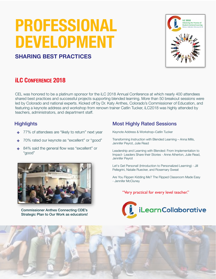# **PROFESSIONAL DEVELOPMENT**



### **SHARING BEST PRACTICES**

# **iLC CONFERENCE 2018**

CEL was honored to be a platinum sponsor for the iLC 2018 Annual Conference at which nearly 400 attendees shared best practices and successful projects supporting blended learning. More than 50 breakout sessions were led by Colorado and national experts. Kicked off by Dr. Katy Anthes, Colorado's Commissioner of Education, and featuring a keynote address and workshop from renown trainer Catlin Tucker, iLC2018 was highly attended by teachers, administrators, and department staff.

#### **Highlights**

- ✤ 77% of attendees are "likely to return" next year
- ✤ 70% rated our keynote as "excellent" or "good"
- ✤ 84% said the general flow was "excellent" or "good"



Commissioner Anthes Connecting CDE's Strategic Plan to Our Work as educators!

### Most Highly Rated Sessions

Keynote Address & Workshop–Catlin Tucker

- Transforming Instruction with Blended Learning Anna Mills, Jennifer Peyrot, Julie Read
- Leadership and Learning with Blended: From Implementation to Impact- Leaders Share their Stories - Anne Atherton, Julie Read, Jennifer Peyrot

Let's Get Personal! (Introduction to Personalized Learning) - Jill Pellegrini, Natalie Ruecker, and Rosemary Sweat

Are You Flippen Kidding Me? The Flipped Classroom Made Easy - Jennifer McCluney

"Very practical for every level teacher."



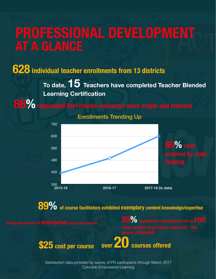# **PROFESSIONAL DEVELOPMENT AT A GLANCE**

**628 individual teacher enrollments from 13 districts**

**To date, 15 Teachers have completed Teacher Blended Learning Certification**

**86%** responded that course resources were ample and relevant



Enrollments Trending Up

**89%** of course facilitators exhibited exemplary content knowledge/expertise



Satisfaction data provided by survey of PD participants through March 2017 Colorado Empowered Learning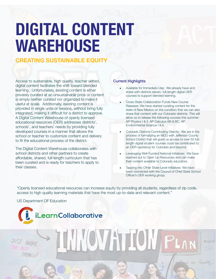# **DIGITAL CONTENT WAREHOUSE**

### **CREATING SUSTAINABLE EQUITY**

Access to sustainable, high quality, teacher vetted, digital content facilitates the shift toward blended learning. Unfortunately, existing content is either privately curated at an unsustainable price or content is simply neither curated nor organized to make it useful at scale. Additionally, existing content is provided in single units or lessons, without bring fully integrated, making it difficult for a district to approve. A Digital Content Warehouse of openly licensed educational resources (OER) addresses districts', schools', and teachers' needs by providing fully developed courses in a manner that allows the school or teacher to customize content and delivery to fit the educational process of the district.

The Digital Content Warehouse collaborates with school districts and other partners to create affordable, shared, full-length curriculum that has been curated and is ready for teachers to apply to their classes.

[text text text text text text text text text text text](https://www.ilearncollaborative.org/professional-development)  text text text text text text text text text text text **the iLearn Collaborative** text text text text text text text text text text text text text text text text text text text text text text

#### Current Highlights

- Available for Immediate Use: We already have and share with districts eleven, full-length digital OER courses to support blended learning.
- Cross-State Collaboration Funds New Course Releases: We have started curating content for the state of New Mexico on the condition that we can also share that content with our Colorado districts. This will allow us to release the following courses this summer: AP Physics I & II, AP Calculus AB & BC, AP Environmental Science I & II.
- Colorado Districts Contributing Directly: We are in the process of formalizing an MOU with Jefferson County School District that will grant us access to over 50 fulllength digital student courses could be contributed to an OER repository for Colorado and beyond.
- Leveraging Well-Funded National Initiatives: We have reached out to Open Up Resources and can make their content available to Colorado educators.
- Tapping into Other State-Level Initiatives: We have been connected with the Council of Chief State School Officer's OER working group.

"Openly licensed educational resources can increase equity by providing all students, regardless of zip code, access to high quality learning materials that have the most up-to-date and relevant content."

**HOVATOI** 

US Department OF Education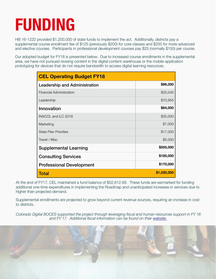# **FUNDING**

HB 16-1222 provided \$1,200,000 of state funds to implement the act. Additionally, districts pay a supplemental course enrollment fee of \$125 (previously \$200) for core classes and \$200 for more advanced and elective courses. Participants in professional development courses pay \$25 (normally \$150) per course.

Our adopted budget for FY18 is presented below. Due to increased course enrollments in the supplemental area, we have not pursued revising content in the digital content warehouse or the mobile application prototyping for devices that do not require bandwidth to access digital learning resources.

| <b>CEL Operating Budget FY18</b> |             |
|----------------------------------|-------------|
| Leadership and Administration    | \$96,000    |
| Financial Administration         | \$25,045    |
| Leadership                       | \$70,955    |
| Innovation                       | \$64,000    |
| INACOL and ILC 2018              | \$35,000    |
| Marketing                        | \$7,000     |
| <b>State Plan Priorities</b>     | \$17,000    |
| Travel / Misc                    | \$5,000     |
| <b>Supplemental Learning</b>     | \$505,000   |
| <b>Consulting Services</b>       | \$185,000   |
| <b>Professional Development</b>  | \$170,000   |
| Total                            | \$1,020,000 |

At the end of FY17, CEL maintained a fund balance of \$52,612.69. These funds are earmarked for funding additional one-time expenditures in implementing the Roadmap and unanticipated increases in services due to higher than projected demand.

Supplemental enrollments are projected to grow beyond current revenue sources, requiring an increase in cost to districts.

*Colorado Digital BOCES supported the project through leveraging fiscal and human resources support in FY 16 and FY 17. Additional fiscal information can be found on their [website.](http://www.cdboces.org)*